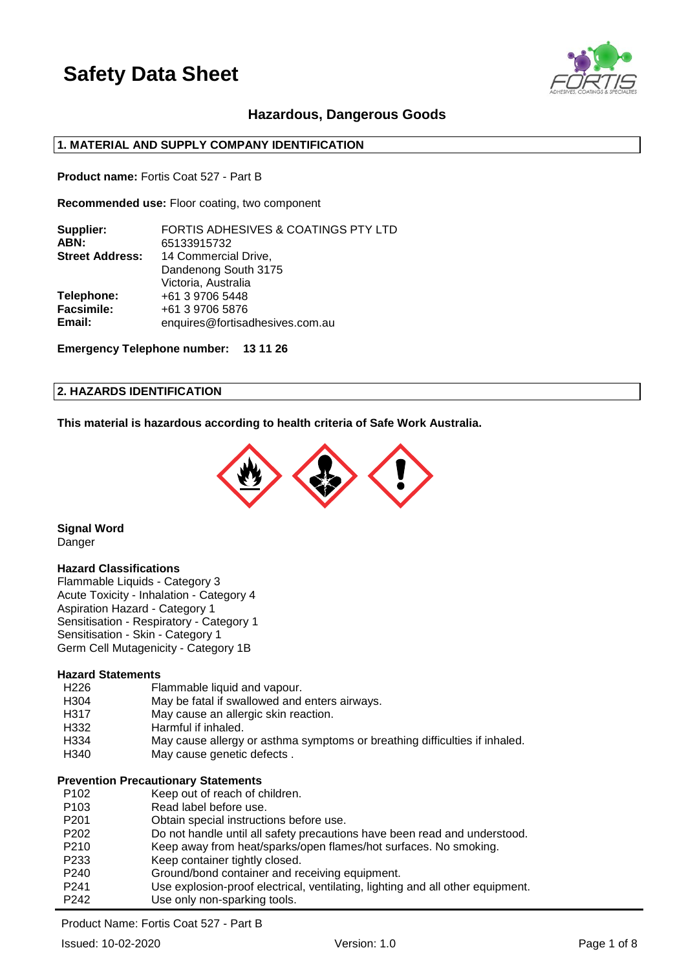

## **Hazardous, Dangerous Goods**

## **1. MATERIAL AND SUPPLY COMPANY IDENTIFICATION**

**Product name:** Fortis Coat 527 - Part B

**Recommended use:** Floor coating, two component

| Supplier:              | FORTIS ADHESIVES & COATINGS PTY LTD |
|------------------------|-------------------------------------|
| ABN:                   | 65133915732                         |
| <b>Street Address:</b> | 14 Commercial Drive,                |
|                        | Dandenong South 3175                |
|                        | Victoria, Australia                 |
| Telephone:             | +61 3 9706 5448                     |
| <b>Facsimile:</b>      | +61 3 9706 5876                     |
| Email:                 | enquires@fortisadhesives.com.au     |
|                        |                                     |

**Emergency Telephone number: 13 11 26**

#### **2. HAZARDS IDENTIFICATION**

**This material is hazardous according to health criteria of Safe Work Australia.**



**Signal Word** Danger

#### **Hazard Classifications**

Flammable Liquids - Category 3 Acute Toxicity - Inhalation - Category 4 Aspiration Hazard - Category 1 Sensitisation - Respiratory - Category 1 Sensitisation - Skin - Category 1 Germ Cell Mutagenicity - Category 1B

### **Hazard Statements**

| H226             | Flammable liquid and vapour.                                               |
|------------------|----------------------------------------------------------------------------|
| H <sub>304</sub> | May be fatal if swallowed and enters airways.                              |
| H317             | May cause an allergic skin reaction.                                       |
| H332             | Harmful if inhaled.                                                        |
| H334             | May cause allergy or asthma symptoms or breathing difficulties if inhaled. |
| H340             | May cause genetic defects.                                                 |

#### **Prevention Precautionary Statements**

| P <sub>102</sub> | Keep out of reach of children.                                                 |
|------------------|--------------------------------------------------------------------------------|
| P <sub>103</sub> | Read label before use.                                                         |
| P <sub>201</sub> | Obtain special instructions before use.                                        |
| P <sub>202</sub> | Do not handle until all safety precautions have been read and understood.      |
| P <sub>210</sub> | Keep away from heat/sparks/open flames/hot surfaces. No smoking.               |
| P <sub>233</sub> | Keep container tightly closed.                                                 |
| P <sub>240</sub> | Ground/bond container and receiving equipment.                                 |
| P <sub>241</sub> | Use explosion-proof electrical, ventilating, lighting and all other equipment. |
| P <sub>242</sub> | Use only non-sparking tools.                                                   |

Product Name: Fortis Coat 527 - Part B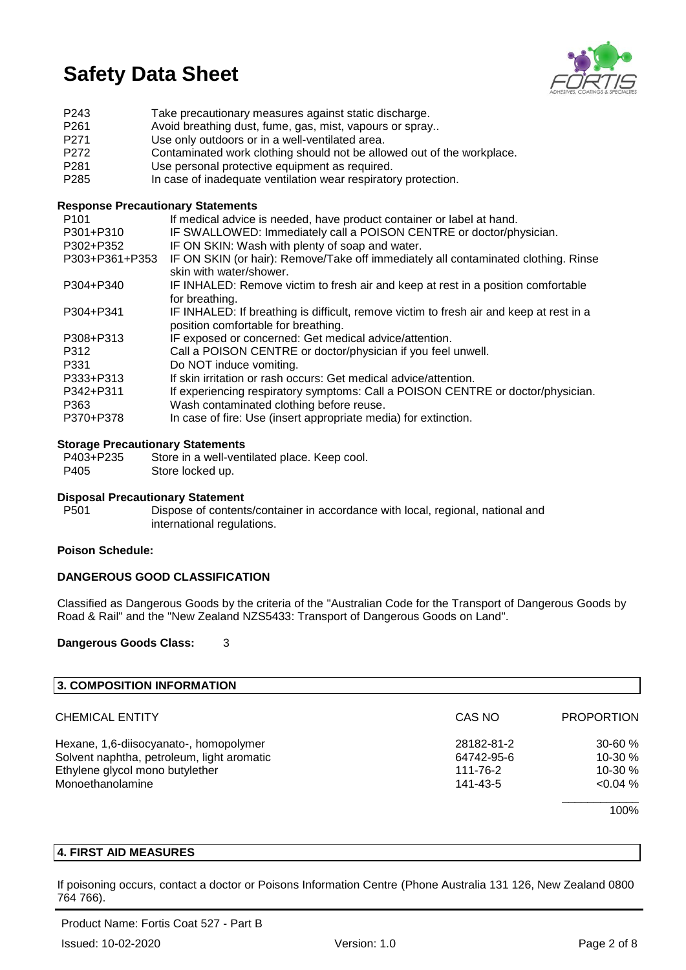

| P <sub>243</sub> | Take precautionary measures against static discharge.                  |
|------------------|------------------------------------------------------------------------|
| P <sub>261</sub> | Avoid breathing dust, fume, gas, mist, vapours or spray                |
| P <sub>271</sub> | Use only outdoors or in a well-ventilated area.                        |
| P <sub>272</sub> | Contaminated work clothing should not be allowed out of the workplace. |
| P <sub>281</sub> | Use personal protective equipment as required.                         |
| P <sub>285</sub> | In case of inadequate ventilation wear respiratory protection.         |

### **Response Precautionary Statements**

| P <sub>101</sub> | If medical advice is needed, have product container or label at hand.                   |
|------------------|-----------------------------------------------------------------------------------------|
| P301+P310        | IF SWALLOWED: Immediately call a POISON CENTRE or doctor/physician.                     |
| P302+P352        | IF ON SKIN: Wash with plenty of soap and water.                                         |
| P303+P361+P353   | IF ON SKIN (or hair): Remove/Take off immediately all contaminated clothing. Rinse      |
|                  | skin with water/shower.                                                                 |
| P304+P340        | IF INHALED: Remove victim to fresh air and keep at rest in a position comfortable       |
|                  | for breathing.                                                                          |
| P304+P341        | IF INHALED: If breathing is difficult, remove victim to fresh air and keep at rest in a |
|                  | position comfortable for breathing.                                                     |
| P308+P313        | IF exposed or concerned: Get medical advice/attention.                                  |
| P312             | Call a POISON CENTRE or doctor/physician if you feel unwell.                            |
| P331             | Do NOT induce vomiting.                                                                 |
| P333+P313        | If skin irritation or rash occurs: Get medical advice/attention.                        |
| P342+P311        | If experiencing respiratory symptoms: Call a POISON CENTRE or doctor/physician.         |
| P363             | Wash contaminated clothing before reuse.                                                |
| P370+P378        | In case of fire: Use (insert appropriate media) for extinction.                         |

#### **Storage Precautionary Statements**

| P403+P235 | Store in a well-ventilated place. Keep cool. |
|-----------|----------------------------------------------|
| P405      | Store locked up.                             |

#### **Disposal Precautionary Statement**

P501 Dispose of contents/container in accordance with local, regional, national and international regulations.

#### **Poison Schedule:**

## **DANGEROUS GOOD CLASSIFICATION**

Classified as Dangerous Goods by the criteria of the "Australian Code for the Transport of Dangerous Goods by Road & Rail" and the "New Zealand NZS5433: Transport of Dangerous Goods on Land".

#### **Dangerous Goods Class:** 3

| 3. COMPOSITION INFORMATION                 |            |                   |
|--------------------------------------------|------------|-------------------|
| <b>CHEMICAL ENTITY</b>                     | CAS NO     | <b>PROPORTION</b> |
| Hexane, 1,6-diisocyanato-, homopolymer     | 28182-81-2 | $30 - 60 \%$      |
| Solvent naphtha, petroleum, light aromatic | 64742-95-6 | 10-30 %           |
| Ethylene glycol mono butylether            | 111-76-2   | $10-30%$          |
| Monoethanolamine                           | 141-43-5   | $< 0.04 \%$       |
|                                            |            | 100%              |

### **4. FIRST AID MEASURES**

If poisoning occurs, contact a doctor or Poisons Information Centre (Phone Australia 131 126, New Zealand 0800 764 766).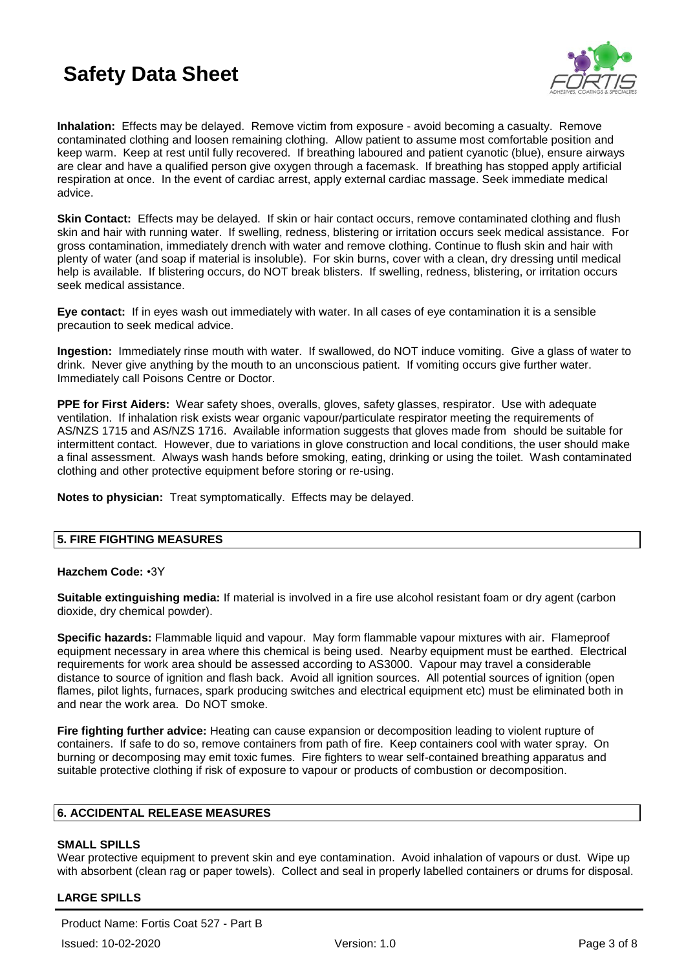

**Inhalation:** Effects may be delayed. Remove victim from exposure - avoid becoming a casualty. Remove contaminated clothing and loosen remaining clothing. Allow patient to assume most comfortable position and keep warm. Keep at rest until fully recovered. If breathing laboured and patient cyanotic (blue), ensure airways are clear and have a qualified person give oxygen through a facemask. If breathing has stopped apply artificial respiration at once. In the event of cardiac arrest, apply external cardiac massage. Seek immediate medical advice.

**Skin Contact:** Effects may be delayed. If skin or hair contact occurs, remove contaminated clothing and flush skin and hair with running water. If swelling, redness, blistering or irritation occurs seek medical assistance. For gross contamination, immediately drench with water and remove clothing. Continue to flush skin and hair with plenty of water (and soap if material is insoluble). For skin burns, cover with a clean, dry dressing until medical help is available. If blistering occurs, do NOT break blisters. If swelling, redness, blistering, or irritation occurs seek medical assistance.

**Eye contact:** If in eyes wash out immediately with water. In all cases of eye contamination it is a sensible precaution to seek medical advice.

**Ingestion:** Immediately rinse mouth with water. If swallowed, do NOT induce vomiting. Give a glass of water to drink. Never give anything by the mouth to an unconscious patient. If vomiting occurs give further water. Immediately call Poisons Centre or Doctor.

**PPE for First Aiders:** Wear safety shoes, overalls, gloves, safety glasses, respirator. Use with adequate ventilation. If inhalation risk exists wear organic vapour/particulate respirator meeting the requirements of AS/NZS 1715 and AS/NZS 1716. Available information suggests that gloves made from should be suitable for intermittent contact. However, due to variations in glove construction and local conditions, the user should make a final assessment. Always wash hands before smoking, eating, drinking or using the toilet. Wash contaminated clothing and other protective equipment before storing or re-using.

**Notes to physician:** Treat symptomatically. Effects may be delayed.

#### **5. FIRE FIGHTING MEASURES**

#### **Hazchem Code:** •3Y

**Suitable extinguishing media:** If material is involved in a fire use alcohol resistant foam or dry agent (carbon dioxide, dry chemical powder).

**Specific hazards:** Flammable liquid and vapour. May form flammable vapour mixtures with air. Flameproof equipment necessary in area where this chemical is being used. Nearby equipment must be earthed. Electrical requirements for work area should be assessed according to AS3000. Vapour may travel a considerable distance to source of ignition and flash back. Avoid all ignition sources. All potential sources of ignition (open flames, pilot lights, furnaces, spark producing switches and electrical equipment etc) must be eliminated both in and near the work area. Do NOT smoke.

**Fire fighting further advice:** Heating can cause expansion or decomposition leading to violent rupture of containers. If safe to do so, remove containers from path of fire. Keep containers cool with water spray. On burning or decomposing may emit toxic fumes. Fire fighters to wear self-contained breathing apparatus and suitable protective clothing if risk of exposure to vapour or products of combustion or decomposition.

### **6. ACCIDENTAL RELEASE MEASURES**

#### **SMALL SPILLS**

Wear protective equipment to prevent skin and eye contamination. Avoid inhalation of vapours or dust. Wipe up with absorbent (clean rag or paper towels). Collect and seal in properly labelled containers or drums for disposal.

## **LARGE SPILLS**

Product Name: Fortis Coat 527 - Part B Issued: 10-02-2020 Version: 1.0 Page 3 of 8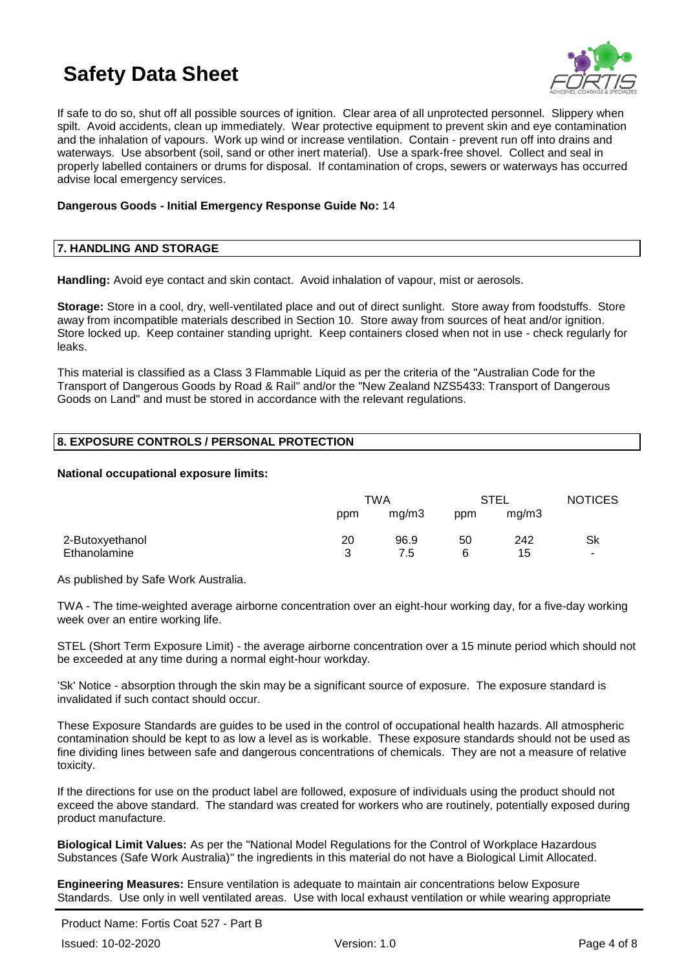

If safe to do so, shut off all possible sources of ignition. Clear area of all unprotected personnel. Slippery when spilt. Avoid accidents, clean up immediately. Wear protective equipment to prevent skin and eye contamination and the inhalation of vapours. Work up wind or increase ventilation. Contain - prevent run off into drains and waterways. Use absorbent (soil, sand or other inert material). Use a spark-free shovel. Collect and seal in properly labelled containers or drums for disposal. If contamination of crops, sewers or waterways has occurred advise local emergency services.

### **Dangerous Goods - Initial Emergency Response Guide No:** 14

### **7. HANDLING AND STORAGE**

**Handling:** Avoid eye contact and skin contact. Avoid inhalation of vapour, mist or aerosols.

**Storage:** Store in a cool, dry, well-ventilated place and out of direct sunlight. Store away from foodstuffs. Store away from incompatible materials described in Section 10. Store away from sources of heat and/or ignition. Store locked up. Keep container standing upright. Keep containers closed when not in use - check regularly for leaks.

This material is classified as a Class 3 Flammable Liquid as per the criteria of the "Australian Code for the Transport of Dangerous Goods by Road & Rail" and/or the "New Zealand NZS5433: Transport of Dangerous Goods on Land" and must be stored in accordance with the relevant regulations.

## **8. EXPOSURE CONTROLS / PERSONAL PROTECTION**

#### **National occupational exposure limits:**

|                 | TWA |       | <b>STEL</b> |       | <b>NOTICES</b> |
|-----------------|-----|-------|-------------|-------|----------------|
|                 | ppm | mg/m3 | ppm         | mg/m3 |                |
| 2-Butoxyethanol | 20  | 96.9  | 50          | 242   | Sk             |
| Ethanolamine    | ર   | 7.5   | 6           | 15    | $\blacksquare$ |

As published by Safe Work Australia.

TWA - The time-weighted average airborne concentration over an eight-hour working day, for a five-day working week over an entire working life.

STEL (Short Term Exposure Limit) - the average airborne concentration over a 15 minute period which should not be exceeded at any time during a normal eight-hour workday.

'Sk' Notice - absorption through the skin may be a significant source of exposure. The exposure standard is invalidated if such contact should occur.

These Exposure Standards are guides to be used in the control of occupational health hazards. All atmospheric contamination should be kept to as low a level as is workable. These exposure standards should not be used as fine dividing lines between safe and dangerous concentrations of chemicals. They are not a measure of relative toxicity.

If the directions for use on the product label are followed, exposure of individuals using the product should not exceed the above standard. The standard was created for workers who are routinely, potentially exposed during product manufacture.

**Biological Limit Values:** As per the "National Model Regulations for the Control of Workplace Hazardous Substances (Safe Work Australia)" the ingredients in this material do not have a Biological Limit Allocated.

**Engineering Measures:** Ensure ventilation is adequate to maintain air concentrations below Exposure Standards. Use only in well ventilated areas. Use with local exhaust ventilation or while wearing appropriate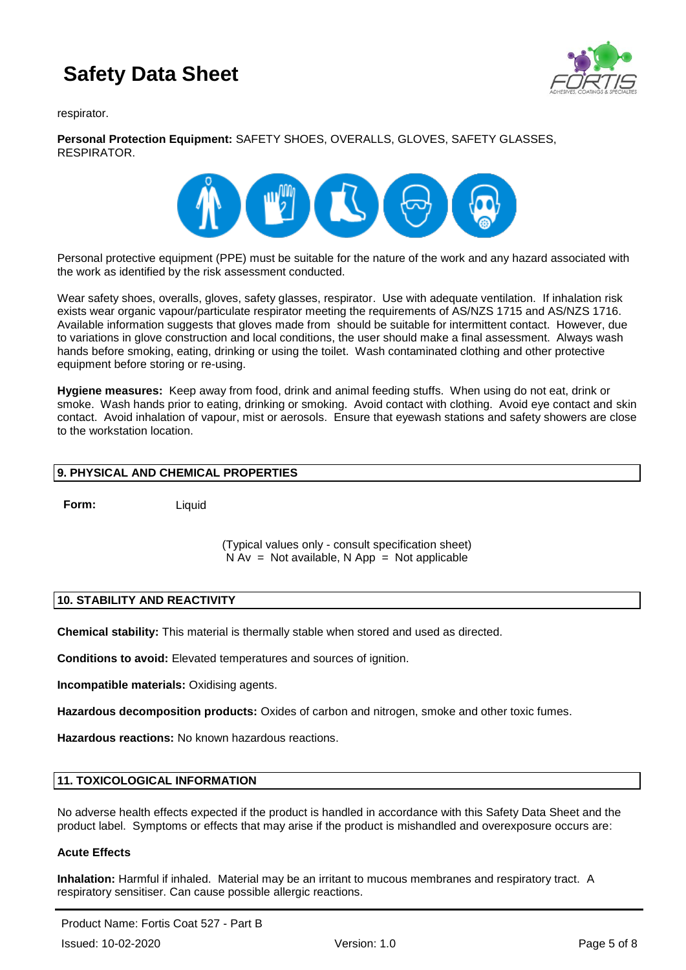

respirator.

## **Personal Protection Equipment:** SAFETY SHOES, OVERALLS, GLOVES, SAFETY GLASSES, RESPIRATOR.



Personal protective equipment (PPE) must be suitable for the nature of the work and any hazard associated with the work as identified by the risk assessment conducted.

Wear safety shoes, overalls, gloves, safety glasses, respirator. Use with adequate ventilation. If inhalation risk exists wear organic vapour/particulate respirator meeting the requirements of AS/NZS 1715 and AS/NZS 1716. Available information suggests that gloves made from should be suitable for intermittent contact. However, due to variations in glove construction and local conditions, the user should make a final assessment. Always wash hands before smoking, eating, drinking or using the toilet. Wash contaminated clothing and other protective equipment before storing or re-using.

**Hygiene measures:** Keep away from food, drink and animal feeding stuffs. When using do not eat, drink or smoke. Wash hands prior to eating, drinking or smoking. Avoid contact with clothing. Avoid eye contact and skin contact. Avoid inhalation of vapour, mist or aerosols. Ensure that eyewash stations and safety showers are close to the workstation location.

## **9. PHYSICAL AND CHEMICAL PROPERTIES**

**Form:** Liquid

(Typical values only - consult specification sheet)  $N Av = Not available, N App = Not applicable$ 

## **10. STABILITY AND REACTIVITY**

**Chemical stability:** This material is thermally stable when stored and used as directed.

**Conditions to avoid:** Elevated temperatures and sources of ignition.

**Incompatible materials:** Oxidising agents.

**Hazardous decomposition products:** Oxides of carbon and nitrogen, smoke and other toxic fumes.

**Hazardous reactions:** No known hazardous reactions.

## **11. TOXICOLOGICAL INFORMATION**

No adverse health effects expected if the product is handled in accordance with this Safety Data Sheet and the product label. Symptoms or effects that may arise if the product is mishandled and overexposure occurs are:

## **Acute Effects**

**Inhalation:** Harmful if inhaled. Material may be an irritant to mucous membranes and respiratory tract. A respiratory sensitiser. Can cause possible allergic reactions.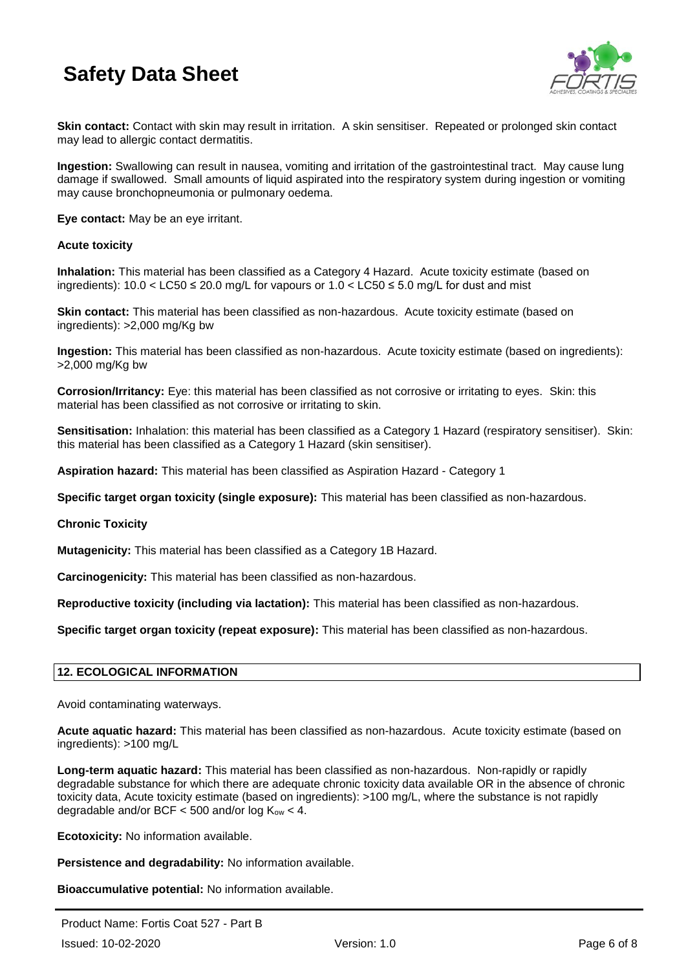

**Skin contact:** Contact with skin may result in irritation. A skin sensitiser. Repeated or prolonged skin contact may lead to allergic contact dermatitis.

**Ingestion:** Swallowing can result in nausea, vomiting and irritation of the gastrointestinal tract. May cause lung damage if swallowed. Small amounts of liquid aspirated into the respiratory system during ingestion or vomiting may cause bronchopneumonia or pulmonary oedema.

**Eye contact:** May be an eye irritant.

### **Acute toxicity**

**Inhalation:** This material has been classified as a Category 4 Hazard. Acute toxicity estimate (based on ingredients): 10.0 < LC50 ≤ 20.0 mg/L for vapours or 1.0 < LC50 ≤ 5.0 mg/L for dust and mist

**Skin contact:** This material has been classified as non-hazardous. Acute toxicity estimate (based on ingredients): >2,000 mg/Kg bw

**Ingestion:** This material has been classified as non-hazardous. Acute toxicity estimate (based on ingredients): >2,000 mg/Kg bw

**Corrosion/Irritancy:** Eye: this material has been classified as not corrosive or irritating to eyes. Skin: this material has been classified as not corrosive or irritating to skin.

**Sensitisation:** Inhalation: this material has been classified as a Category 1 Hazard (respiratory sensitiser). Skin: this material has been classified as a Category 1 Hazard (skin sensitiser).

**Aspiration hazard:** This material has been classified as Aspiration Hazard - Category 1

**Specific target organ toxicity (single exposure):** This material has been classified as non-hazardous.

#### **Chronic Toxicity**

**Mutagenicity:** This material has been classified as a Category 1B Hazard.

**Carcinogenicity:** This material has been classified as non-hazardous.

**Reproductive toxicity (including via lactation):** This material has been classified as non-hazardous.

**Specific target organ toxicity (repeat exposure):** This material has been classified as non-hazardous.

## **12. ECOLOGICAL INFORMATION**

Avoid contaminating waterways.

**Acute aquatic hazard:** This material has been classified as non-hazardous. Acute toxicity estimate (based on ingredients): >100 mg/L

**Long-term aquatic hazard:** This material has been classified as non-hazardous. Non-rapidly or rapidly degradable substance for which there are adequate chronic toxicity data available OR in the absence of chronic toxicity data, Acute toxicity estimate (based on ingredients): >100 mg/L, where the substance is not rapidly degradable and/or BCF  $<$  500 and/or log  $K_{ow}$   $<$  4.

**Ecotoxicity:** No information available.

**Persistence and degradability:** No information available.

**Bioaccumulative potential:** No information available.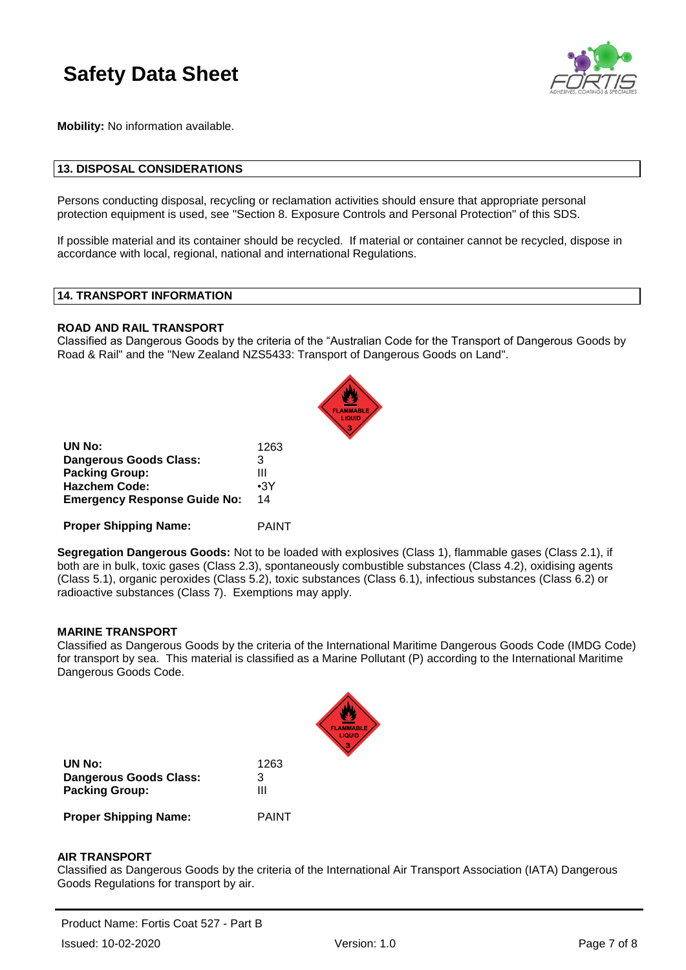

**Mobility:** No information available.

#### **13. DISPOSAL CONSIDERATIONS**

Persons conducting disposal, recycling or reclamation activities should ensure that appropriate personal protection equipment is used, see "Section 8. Exposure Controls and Personal Protection" of this SDS.

If possible material and its container should be recycled. If material or container cannot be recycled, dispose in accordance with local, regional, national and international Regulations.

### **14. TRANSPORT INFORMATION**

#### **ROAD AND RAIL TRANSPORT**

Classified as Dangerous Goods by the criteria of the "Australian Code for the Transport of Dangerous Goods by Road & Rail" and the "New Zealand NZS5433: Transport of Dangerous Goods on Land".

| UN No:                              | 1263       |
|-------------------------------------|------------|
| Dangerous Goods Class:              | 3          |
| <b>Packing Group:</b>               | Ш          |
| <b>Hazchem Code:</b>                | $\cdot$ 3Y |
| <b>Emergency Response Guide No:</b> | 14         |
|                                     |            |

**Proper Shipping Name:** PAINT

**Segregation Dangerous Goods:** Not to be loaded with explosives (Class 1), flammable gases (Class 2.1), if both are in bulk, toxic gases (Class 2.3), spontaneously combustible substances (Class 4.2), oxidising agents (Class 5.1), organic peroxides (Class 5.2), toxic substances (Class 6.1), infectious substances (Class 6.2) or radioactive substances (Class 7). Exemptions may apply.

#### **MARINE TRANSPORT**

Classified as Dangerous Goods by the criteria of the International Maritime Dangerous Goods Code (IMDG Code) for transport by sea. This material is classified as a Marine Pollutant (P) according to the International Maritime Dangerous Goods Code.

| UN No:                                          | 1263         |
|-------------------------------------------------|--------------|
| Dangerous Goods Class:<br><b>Packing Group:</b> | 3<br>Ш       |
| <b>Proper Shipping Name:</b>                    | <b>PAINT</b> |

#### **AIR TRANSPORT**

Classified as Dangerous Goods by the criteria of the International Air Transport Association (IATA) Dangerous Goods Regulations for transport by air.